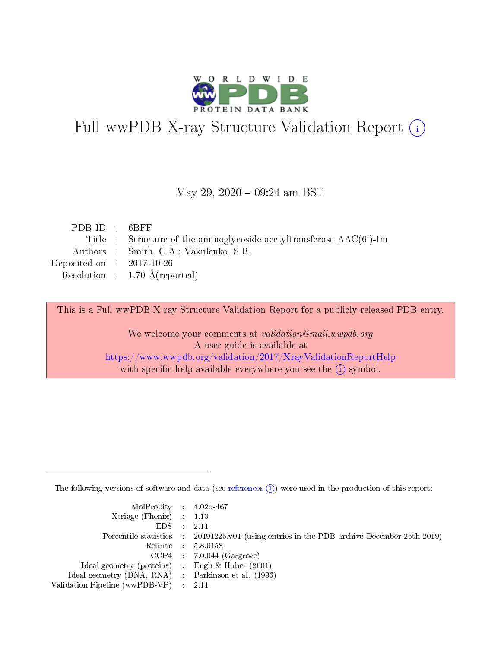

# Full wwPDB X-ray Structure Validation Report (i)

#### May 29, 2020 - 09:24 am BST

| PDB ID : 6BFF               |                                                                                       |
|-----------------------------|---------------------------------------------------------------------------------------|
|                             | Title : Structure of the aminoglycoside acetyltransferase $\text{AAC}(6^{\circ})$ -Im |
|                             | Authors : Smith, C.A.; Vakulenko, S.B.                                                |
| Deposited on : $2017-10-26$ |                                                                                       |
|                             | Resolution : $1.70 \text{ Å}$ (reported)                                              |

This is a Full wwPDB X-ray Structure Validation Report for a publicly released PDB entry.

We welcome your comments at validation@mail.wwpdb.org A user guide is available at <https://www.wwpdb.org/validation/2017/XrayValidationReportHelp> with specific help available everywhere you see the  $(i)$  symbol.

The following versions of software and data (see [references](https://www.wwpdb.org/validation/2017/XrayValidationReportHelp#references)  $(i)$ ) were used in the production of this report:

| $MolProbability$ 4.02b-467                          |                                                                                            |
|-----------------------------------------------------|--------------------------------------------------------------------------------------------|
| Xtriage (Phenix) $: 1.13$                           |                                                                                            |
| $EDS$ :                                             | -2.11                                                                                      |
|                                                     | Percentile statistics : 20191225.v01 (using entries in the PDB archive December 25th 2019) |
|                                                     | Refmac : 5.8.0158                                                                          |
|                                                     | $CCP4$ : 7.0.044 (Gargrove)                                                                |
| Ideal geometry (proteins) : Engh $\&$ Huber (2001)  |                                                                                            |
| Ideal geometry (DNA, RNA) : Parkinson et al. (1996) |                                                                                            |
| Validation Pipeline (wwPDB-VP)                      | -2.11                                                                                      |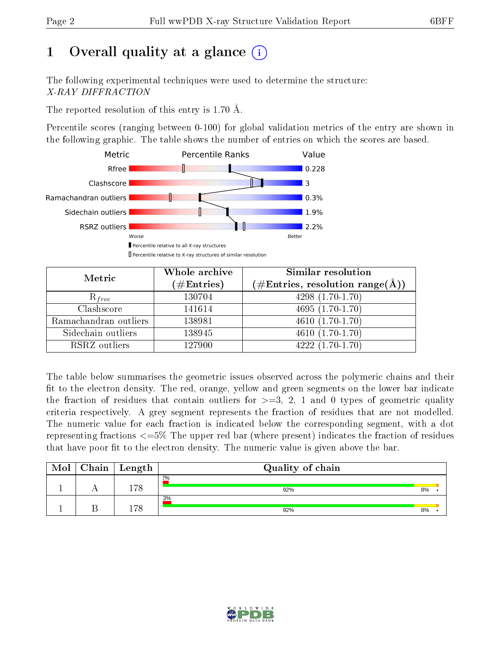# 1 [O](https://www.wwpdb.org/validation/2017/XrayValidationReportHelp#overall_quality)verall quality at a glance  $(i)$

The following experimental techniques were used to determine the structure: X-RAY DIFFRACTION

The reported resolution of this entry is 1.70 Å.

Percentile scores (ranging between 0-100) for global validation metrics of the entry are shown in the following graphic. The table shows the number of entries on which the scores are based.



| Metric                | Whole archive<br>$(\#\mathrm{Entries})$ | Similar resolution<br>$(\#\text{Entries}, \text{resolution range}(\text{\AA}))$ |
|-----------------------|-----------------------------------------|---------------------------------------------------------------------------------|
| $R_{free}$            | 130704                                  | $4298(1.70-1.70)$                                                               |
| Clashscore            | 141614                                  | $4695(1.70-1.70)$                                                               |
| Ramachandran outliers | 138981                                  | $\overline{4610}$ $(1.70-1.70)$                                                 |
| Sidechain outliers    | 138945                                  | $4610(1.70-1.70)$                                                               |
| RSRZ outliers         | 127900                                  | $\overline{4222}$ $(1.70-1.70)$                                                 |

The table below summarises the geometric issues observed across the polymeric chains and their fit to the electron density. The red, orange, yellow and green segments on the lower bar indicate the fraction of residues that contain outliers for  $>=3, 2, 1$  and 0 types of geometric quality criteria respectively. A grey segment represents the fraction of residues that are not modelled. The numeric value for each fraction is indicated below the corresponding segment, with a dot representing fractions  $\epsilon=5\%$  The upper red bar (where present) indicates the fraction of residues that have poor fit to the electron density. The numeric value is given above the bar.

| Mol | Chain | Length | Quality of chain |    |  |
|-----|-------|--------|------------------|----|--|
|     |       | 178    | 2%<br>92%        | 8% |  |
|     |       | 179    | 3%<br>92%        | 8% |  |

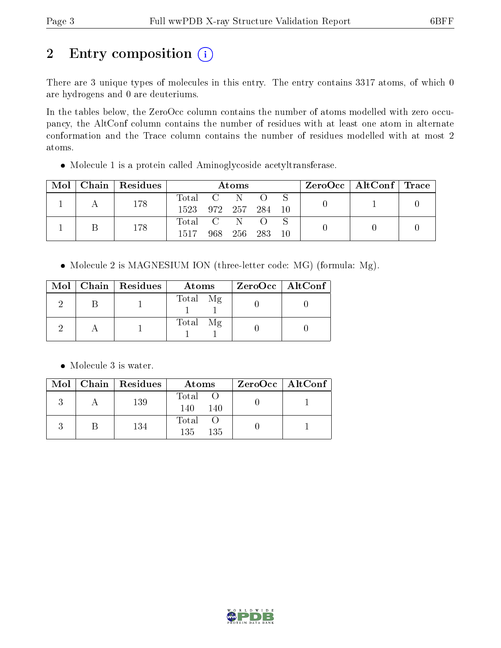# 2 Entry composition (i)

There are 3 unique types of molecules in this entry. The entry contains 3317 atoms, of which 0 are hydrogens and 0 are deuteriums.

In the tables below, the ZeroOcc column contains the number of atoms modelled with zero occupancy, the AltConf column contains the number of residues with at least one atom in alternate conformation and the Trace column contains the number of residues modelled with at most 2 atoms.

Molecule 1 is a protein called Aminoglycoside acetyltransferase.

| Mol |  | Chain   Residues    | Atoms     |         |     |        | ZeroOcc   AltConf   Trace |  |  |
|-----|--|---------------------|-----------|---------|-----|--------|---------------------------|--|--|
|     |  | 178                 | Total C N |         |     |        |                           |  |  |
|     |  | 1523 972 257 284 10 |           |         |     |        |                           |  |  |
|     |  | 178                 | Total C N |         |     | $\cap$ |                           |  |  |
|     |  | 1517                |           | 968 256 | 283 | -10    |                           |  |  |

• Molecule 2 is MAGNESIUM ION (three-letter code: MG) (formula: Mg).

|  | Mol   Chain   Residues | Atoms    | $ZeroOcc \   \ AltConf \  $ |
|--|------------------------|----------|-----------------------------|
|  |                        | Total Mg |                             |
|  |                        | Total Mg |                             |

• Molecule 3 is water.

|  | $Mol$   Chain   Residues | Atoms               | $ZeroOcc \mid AltConf \mid$ |
|--|--------------------------|---------------------|-----------------------------|
|  | 139                      | Total<br>140<br>140 |                             |
|  | 134                      | Total<br>135<br>135 |                             |

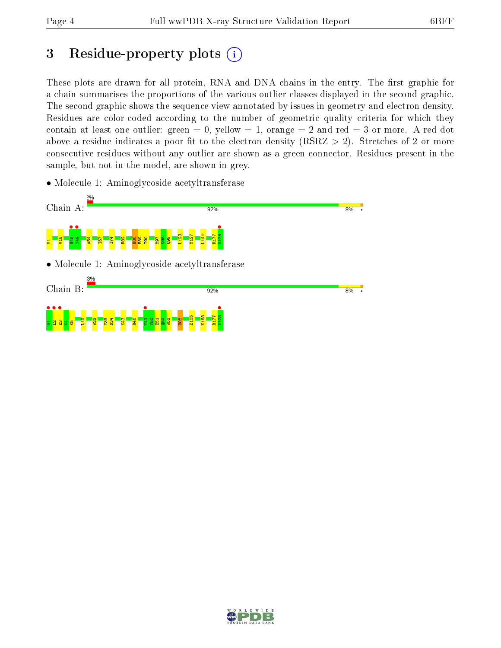## 3 Residue-property plots  $(i)$

These plots are drawn for all protein, RNA and DNA chains in the entry. The first graphic for a chain summarises the proportions of the various outlier classes displayed in the second graphic. The second graphic shows the sequence view annotated by issues in geometry and electron density. Residues are color-coded according to the number of geometric quality criteria for which they contain at least one outlier: green  $= 0$ , yellow  $= 1$ , orange  $= 2$  and red  $= 3$  or more. A red dot above a residue indicates a poor fit to the electron density (RSRZ  $> 2$ ). Stretches of 2 or more consecutive residues without any outlier are shown as a green connector. Residues present in the sample, but not in the model, are shown in grey.

• Molecule 1: Aminoglycoside acetyltransferase



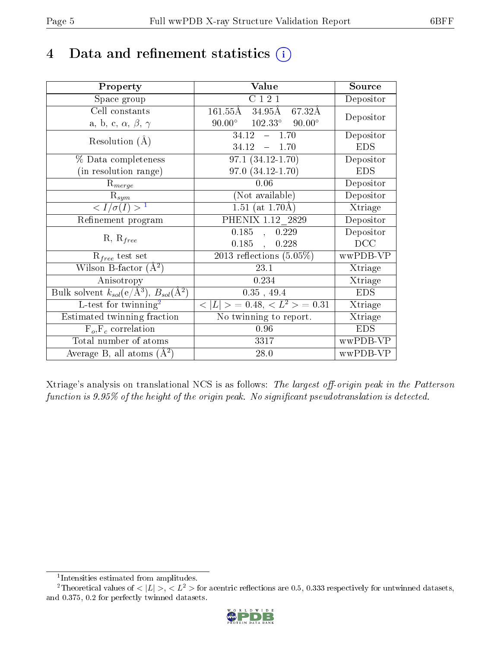## 4 Data and refinement statistics  $(i)$

| Property                                                         | Value                                             | Source     |
|------------------------------------------------------------------|---------------------------------------------------|------------|
| Space group                                                      | $\overline{C}$ 1 2 1                              | Depositor  |
| Cell constants                                                   | $161.55\rm \AA$<br>34.95Å<br>67.32Å               |            |
| a, b, c, $\alpha$ , $\beta$ , $\gamma$                           | $102.33^{\circ}$ $90.00^{\circ}$<br>$90.00^\circ$ | Depositor  |
| Resolution $(A)$                                                 | $34.12 - 1.70$                                    | Depositor  |
|                                                                  | $34.12 - 1.70$                                    | <b>EDS</b> |
| % Data completeness                                              | $\overline{97.1 (34.12-1.70)}$                    | Depositor  |
| (in resolution range)                                            | $97.0(34.12-1.70)$                                | <b>EDS</b> |
| $R_{merge}$                                                      | 0.06                                              | Depositor  |
| $\mathrm{R}_{sym}$                                               | (Not available)                                   | Depositor  |
| $\langle I/\sigma(I) \rangle^{-1}$                               | $1.51$ (at 1.70Å)                                 | Xtriage    |
| Refinement program                                               | PHENIX 1.12 2829                                  | Depositor  |
|                                                                  | $\overline{0.185}$ ,<br>0.229                     | Depositor  |
| $R, R_{free}$                                                    | 0.185,<br>0.228                                   | DCC        |
| $\mathcal{R}_{free}$ test set                                    | $\overline{2013}$ reflections $(5.05\%)$          | wwPDB-VP   |
| Wilson B-factor $(A^2)$                                          | 23.1                                              | Xtriage    |
| Anisotropy                                                       | 0.234                                             | Xtriage    |
| Bulk solvent $k_{sol}(\text{e}/\text{A}^3), B_{sol}(\text{A}^2)$ | $0.35$ , 49.4                                     | <b>EDS</b> |
| L-test for twinning <sup>2</sup>                                 | $< L >$ = 0.48, $< L2 >$ = 0.31                   | Xtriage    |
| Estimated twinning fraction                                      | No twinning to report.                            | Xtriage    |
| $F_o, F_c$ correlation                                           | 0.96                                              | <b>EDS</b> |
| Total number of atoms                                            | 3317                                              | wwPDB-VP   |
| Average B, all atoms $(A^2)$                                     | 28.0                                              | wwPDB-VP   |

Xtriage's analysis on translational NCS is as follows: The largest off-origin peak in the Patterson function is  $9.95\%$  of the height of the origin peak. No significant pseudotranslation is detected.

<sup>&</sup>lt;sup>2</sup>Theoretical values of  $\langle |L| \rangle$ ,  $\langle L^2 \rangle$  for acentric reflections are 0.5, 0.333 respectively for untwinned datasets, and 0.375, 0.2 for perfectly twinned datasets.



<span id="page-4-1"></span><span id="page-4-0"></span><sup>1</sup> Intensities estimated from amplitudes.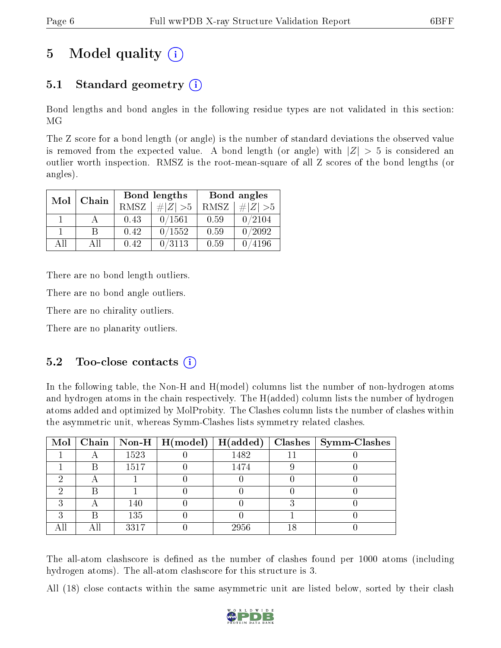## 5 Model quality  $(i)$

## 5.1 Standard geometry (i)

Bond lengths and bond angles in the following residue types are not validated in this section: MG

The Z score for a bond length (or angle) is the number of standard deviations the observed value is removed from the expected value. A bond length (or angle) with  $|Z| > 5$  is considered an outlier worth inspection. RMSZ is the root-mean-square of all Z scores of the bond lengths (or angles).

| Mol | Chain |             | Bond lengths | Bond angles |             |  |
|-----|-------|-------------|--------------|-------------|-------------|--|
|     |       | <b>RMSZ</b> | $\# Z  > 5$  | RMSZ        | $\ Z\  > 5$ |  |
|     |       | 0.43        | 0/1561       | 0.59        | 0/2104      |  |
|     | R     | 0.42        | 0/1552       | 0.59        | 0/2092      |  |
| AH  | A 11  | 0.42        | 0/3113       | 0.59        | 4196        |  |

There are no bond length outliers.

There are no bond angle outliers.

There are no chirality outliers.

There are no planarity outliers.

## $5.2$  Too-close contacts  $(i)$

In the following table, the Non-H and H(model) columns list the number of non-hydrogen atoms and hydrogen atoms in the chain respectively. The H(added) column lists the number of hydrogen atoms added and optimized by MolProbity. The Clashes column lists the number of clashes within the asymmetric unit, whereas Symm-Clashes lists symmetry related clashes.

|   |   |      | $\text{Mol}$   Chain   Non-H   H(model)   H(added) |      |    | $\mid$ Clashes $\mid$ Symm-Clashes |
|---|---|------|----------------------------------------------------|------|----|------------------------------------|
|   |   | 1523 |                                                    | 1482 |    |                                    |
|   | В | 1517 |                                                    | 1474 |    |                                    |
|   |   |      |                                                    |      |    |                                    |
|   |   |      |                                                    |      |    |                                    |
| ച |   | 140  |                                                    |      |    |                                    |
| ച | R | 135  |                                                    |      |    |                                    |
|   |   | 3317 |                                                    | 2956 | 18 |                                    |

The all-atom clashscore is defined as the number of clashes found per 1000 atoms (including hydrogen atoms). The all-atom clashscore for this structure is 3.

All (18) close contacts within the same asymmetric unit are listed below, sorted by their clash

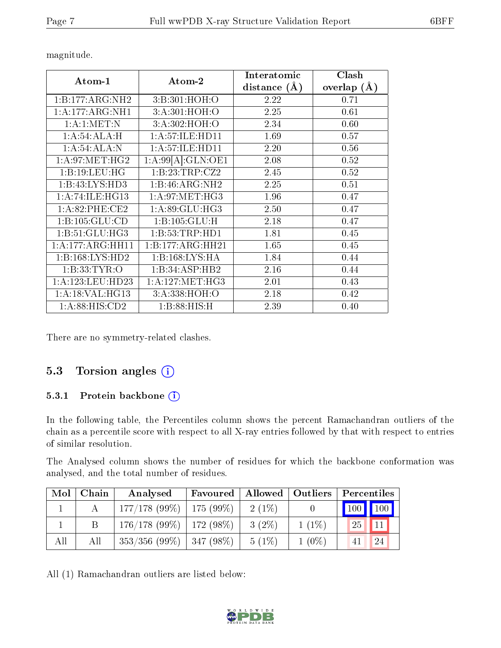| Atom-1             |                    | Interatomic      | Clash           |
|--------------------|--------------------|------------------|-----------------|
|                    | Atom-2             | distance $(\AA)$ | overlap $(\AA)$ |
| 1:B:177:ARG:NH2    | 3:B:301:HOH:O      | 2.22             | 0.71            |
| 1:A:177:ARG:NH1    | 3:A:301:HOH:O      | 2.25             | 0.61            |
| 1: A:1: MET: N     | 3:A:302:HOH:O      | 2.34             | 0.60            |
| 1:A:54:ALA:H       | 1: A:57: ILE: HD11 | 1.69             | 0.57            |
| 1:A:54:ALA:N       | 1: A:57: ILE: HD11 | 2.20             | 0.56            |
| 1: A:97: MET:HG2   | 1:A:99[A]:GLN:OE1  | 2.08             | 0.52            |
| 1:B:19:LEU:HG      | 1:B:23:TRP:CZ2     | 2.45             | 0.52            |
| 1:B:43:LYS:HD3     | 1:B:46:ARG:NH2     | 2.25             | 0.51            |
| 1: A:74: ILE: HG13 | 1: A:97: MET:HG3   | 1.96             | 0.47            |
| $1: A:82:$ PHE:CE2 | 1: A:89: GLU:HG3   | 2.50             | 0.47            |
| 1:B:105:GLU:CD     | 1:B:105:GLU:H      | 2.18             | 0.47            |
| 1:B:51:GLU:HG3     | 1:B:53:TRP:HD1     | 1.81             | 0.45            |
| 1:A:177:ARG:HH11   | 1:B:177:ARG:HH21   | 1.65             | 0.45            |
| 1:B:168:LYS:HD2    | 1:B:168:LYS:HA     | 1.84             | 0.44            |
| 1: B: 33: TYR: O   | 1:B:34:ASP:HB2     | 2.16             | 0.44            |
| 1: A:123:LEU:HD23  | 1: A: 127: MET:HG3 | 2.01             | 0.43            |
| 1: A:18: VAL:HG13  | 3:A:338:HOH:O      | 2.18             | 0.42            |
| 1: A:88: HIS:CD2   | 1:B:88:HIS:H       | 2.39             | 0.40            |

magnitude.

There are no symmetry-related clashes.

## 5.3 Torsion angles  $(i)$

#### 5.3.1 Protein backbone  $(i)$

In the following table, the Percentiles column shows the percent Ramachandran outliers of the chain as a percentile score with respect to all X-ray entries followed by that with respect to entries of similar resolution.

The Analysed column shows the number of residues for which the backbone conformation was analysed, and the total number of residues.

| Mol | Chain | Analysed                      | Allowed   Outliers<br>Favoured |          |          | Percentiles |    |  |
|-----|-------|-------------------------------|--------------------------------|----------|----------|-------------|----|--|
|     |       | $177/178$ (99\%)   175 (99\%) |                                | $2(1\%)$ |          | 100 100     |    |  |
|     |       | $176/178$ (99\%)   172 (98\%) |                                | $3(2\%)$ | $1(1\%)$ | 25          | 11 |  |
| All | All   | $353/356$ (99\%)   347 (98\%) |                                | $5(1\%)$ | $1(0\%)$ |             | 24 |  |

All (1) Ramachandran outliers are listed below:

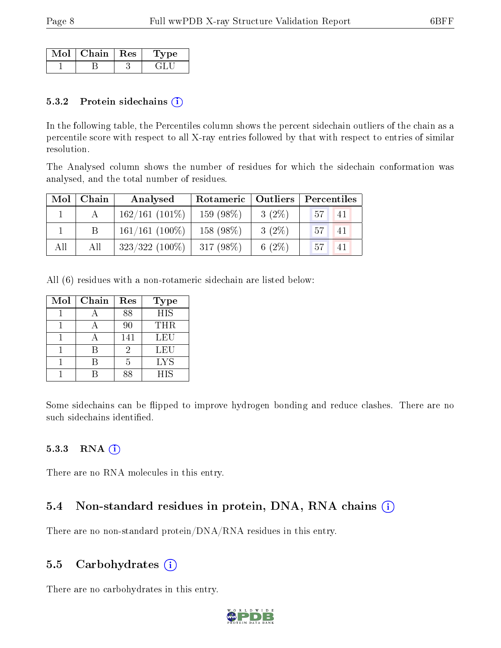| Mol | $\mid$ Chain $\mid$ Res | vpe |
|-----|-------------------------|-----|
|     |                         |     |

#### 5.3.2 Protein sidechains (i)

In the following table, the Percentiles column shows the percent sidechain outliers of the chain as a percentile score with respect to all X-ray entries followed by that with respect to entries of similar resolution.

The Analysed column shows the number of residues for which the sidechain conformation was analysed, and the total number of residues.

| Mol | Chain | Analysed         | Rotameric   Outliers |           | Percentiles            |  |
|-----|-------|------------------|----------------------|-----------|------------------------|--|
|     |       | $162/161(101\%)$ | $159(98\%)$          | $3(2\%)$  | 57 <sub>1</sub><br> 41 |  |
|     |       | $161/161$ (100%) | 158 (98%)            | $3(2\%)$  | 57<br>-41              |  |
| All | All   | $323/322(100\%)$ | $317(98\%)$          | 6 $(2\%)$ | 57 <sup>1</sup><br>41  |  |

All (6) residues with a non-rotameric sidechain are listed below:

| Mol | Chain | Res | Type       |
|-----|-------|-----|------------|
|     |       | 88  | <b>HIS</b> |
|     |       | 90  | THR        |
|     |       | 141 | LEU        |
|     |       | 2   | <b>LEU</b> |
|     |       | 5   | <b>LYS</b> |
|     |       | QΩ  | <b>HIS</b> |

Some sidechains can be flipped to improve hydrogen bonding and reduce clashes. There are no such sidechains identified.

#### $5.3.3$  RNA  $(i)$

There are no RNA molecules in this entry.

### 5.4 Non-standard residues in protein, DNA, RNA chains  $(i)$

There are no non-standard protein/DNA/RNA residues in this entry.

### 5.5 Carbohydrates  $(i)$

There are no carbohydrates in this entry.

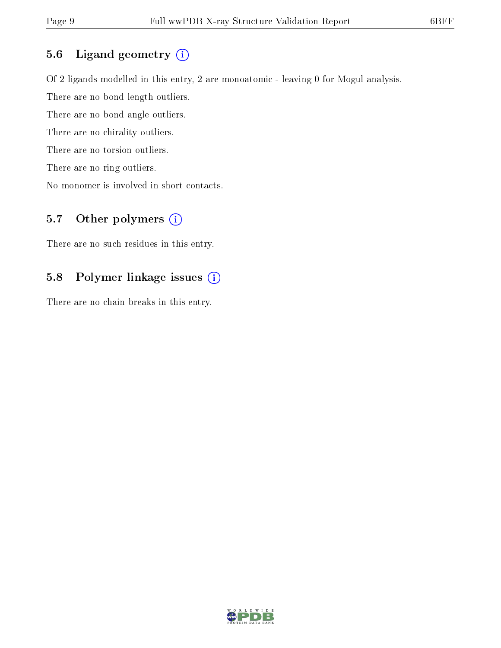## 5.6 Ligand geometry (i)

Of 2 ligands modelled in this entry, 2 are monoatomic - leaving 0 for Mogul analysis. There are no bond length outliers. There are no bond angle outliers. There are no chirality outliers. There are no torsion outliers. There are no ring outliers. No monomer is involved in short contacts.

## 5.7 [O](https://www.wwpdb.org/validation/2017/XrayValidationReportHelp#nonstandard_residues_and_ligands)ther polymers  $(i)$

There are no such residues in this entry.

### 5.8 Polymer linkage issues (i)

There are no chain breaks in this entry.

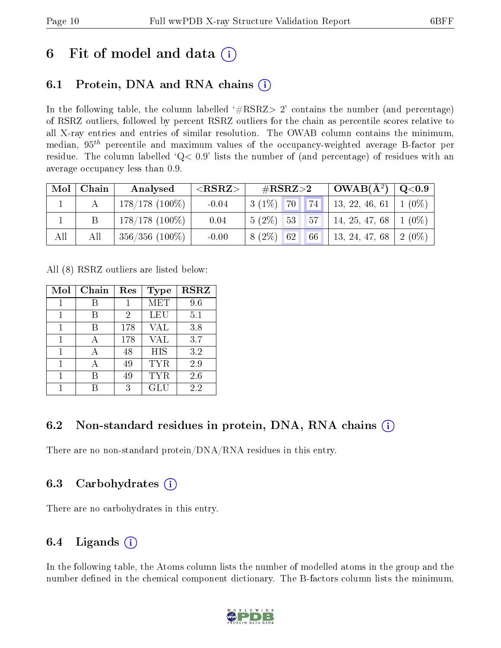## 6 Fit of model and data  $\left( \cdot \right)$

## 6.1 Protein, DNA and RNA chains (i)

In the following table, the column labelled  $#RSRZ>2'$  contains the number (and percentage) of RSRZ outliers, followed by percent RSRZ outliers for the chain as percentile scores relative to all X-ray entries and entries of similar resolution. The OWAB column contains the minimum, median,  $95<sup>th</sup>$  percentile and maximum values of the occupancy-weighted average B-factor per residue. The column labelled  $Q< 0.9$  lists the number of (and percentage) of residues with an average occupancy less than 0.9.

| Mol | Chain | Analysed          | $<$ RSRZ $>$ $ $ | $\rm \#RSRZ{>}2$                      | $\mid$ OWAB(Å <sup>2</sup> ) $\mid$ Q<0.9 |  |
|-----|-------|-------------------|------------------|---------------------------------------|-------------------------------------------|--|
|     |       | 178/178 $(100\%)$ | $-0.04$          | 74 <br>$3(1\%)$ 70 $\blacksquare$     | 13, 22, 46, 61   1 $(0\%)$                |  |
|     |       | $178/178(100\%)$  | 0.04             | $5(2\%)$ 53 57 44, 25, 47, 68 1 (0\%) |                                           |  |
| All | All   | $356/356(100\%)$  | $-0.00$          | $8(2\%)$ 62                           | 66   13, 24, 47, 68   2 (0\%)             |  |

All (8) RSRZ outliers are listed below:

| Mol | Chain | Res | Type       | <b>RSRZ</b> |
|-----|-------|-----|------------|-------------|
| 1   |       |     | <b>MET</b> | 9.6         |
|     | R     | 2   | LEU        | 5.1         |
| 1   | R     | 178 | <b>VAL</b> | 3.8         |
| 1   |       | 178 | <b>VAL</b> | 3.7         |
| 1   |       | 48  | HIS        | 3.2         |
| 1   |       | 49  | TYR        | 2.9         |
|     |       | 49  | TYR        | 2.6         |
|     |       | 3   | GLU        | 2.2         |

## 6.2 Non-standard residues in protein, DNA, RNA chains (i)

There are no non-standard protein/DNA/RNA residues in this entry.

## 6.3 Carbohydrates (i)

There are no carbohydrates in this entry.

## 6.4 Ligands  $(i)$

In the following table, the Atoms column lists the number of modelled atoms in the group and the number defined in the chemical component dictionary. The B-factors column lists the minimum,